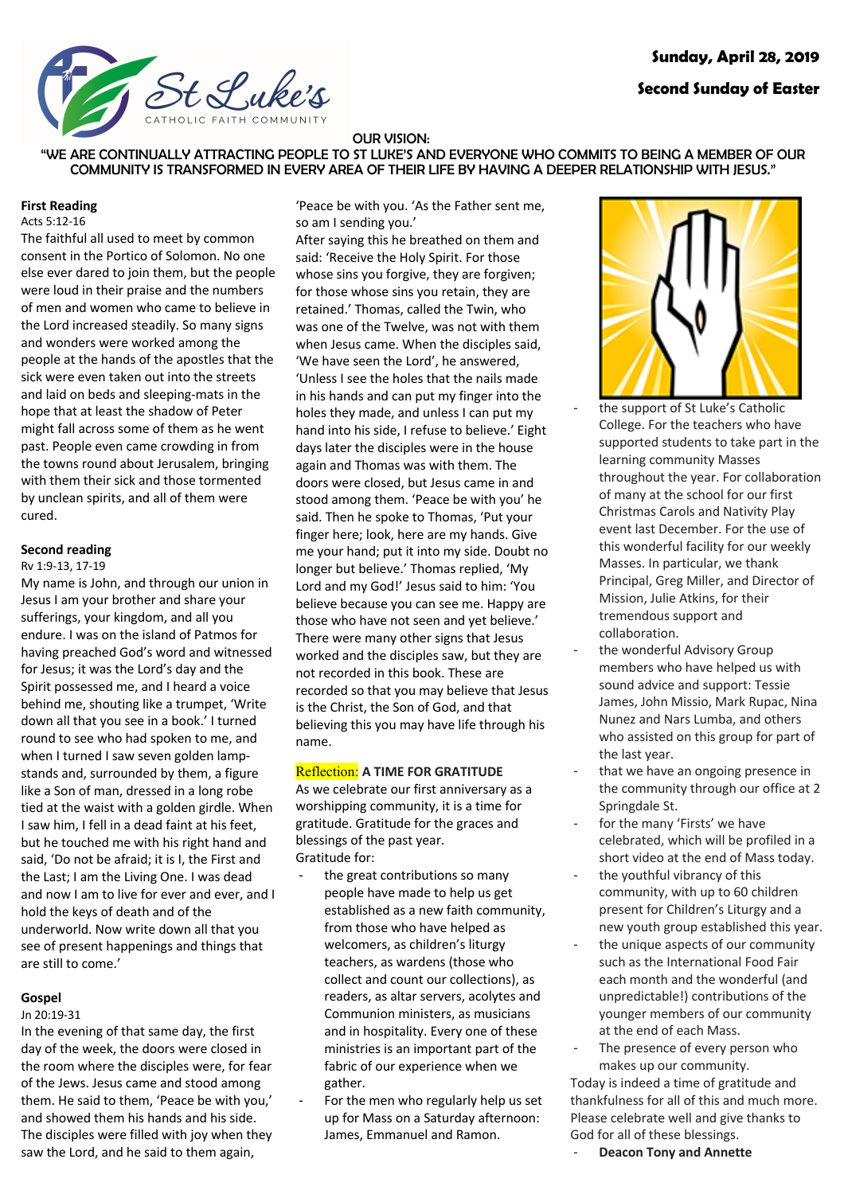

### OUR VISION:

"WE ARE CONTINUALLY ATTRACTING PEOPLE TO ST LUKE'S AND EVERYONE WHO COMMITS TO BEING A MEMBER OF OUR COMMUNITY IS TRANSFORMED IN EVERY AREA OF THEIR LIFE BY HAVING A DEEPER RELATIONSHIP WITH JESUS."

#### **First Reading**

Acts 5:12-16

The faithful all used to meet by common consent in the Portico of Solomon. No one else ever dared to join them, but the people were loud in their praise and the numbers of men and women who came to believe in the Lord increased steadily. So many signs and wonders were worked among the people at the hands of the apostles that the sick were even taken out into the streets and laid on beds and sleeping-mats in the hope that at least the shadow of Peter might fall across some of them as he went past. People even came crowding in from the towns round about Jerusalem, bringing with them their sick and those tormented by unclean spirits, and all of them were cured.

### **Second reading**

#### Rv 1:9-13, 17-19

My name is John, and through our union in Jesus I am your brother and share your sufferings, your kingdom, and all you endure. I was on the island of Patmos for having preached God's word and witnessed for Jesus; it was the Lord's day and the Spirit possessed me, and I heard a voice behind me, shouting like a trumpet, 'Write down all that you see in a book.' I turned round to see who had spoken to me, and when I turned I saw seven golden lampstands and, surrounded by them, a figure like a Son of man, dressed in a long robe tied at the waist with a golden girdle. When I saw him, I fell in a dead faint at his feet, but he touched me with his right hand and said, 'Do not be afraid; it is I, the First and the Last; I am the Living One. I was dead and now I am to live for ever and ever, and I hold the keys of death and of the underworld. Now write down all that you see of present happenings and things that are still to come.'

#### **Gospel**

#### Jn 20:19-31

In the evening of that same day, the first day of the week, the doors were closed in the room where the disciples were, for fear of the Jews. Jesus came and stood among them. He said to them, 'Peace be with you,' and showed them his hands and his side. The disciples were filled with joy when they saw the Lord, and he said to them again,

'Peace be with you. 'As the Father sent me, so am I sending you.'

After saying this he breathed on them and said: 'Receive the Holy Spirit. For those whose sins you forgive, they are forgiven; for those whose sins you retain, they are retained.' Thomas, called the Twin, who was one of the Twelve, was not with them when Jesus came. When the disciples said, 'We have seen the Lord', he answered, 'Unless I see the holes that the nails made in his hands and can put my finger into the holes they made, and unless I can put my hand into his side, I refuse to believe.' Eight days later the disciples were in the house again and Thomas was with them. The doors were closed, but Jesus came in and stood among them. 'Peace be with you' he said. Then he spoke to Thomas, 'Put your finger here; look, here are my hands. Give me your hand; put it into my side. Doubt no longer but believe.' Thomas replied, 'My Lord and my God!' Jesus said to him: 'You believe because you can see me. Happy are those who have not seen and yet believe.' There were many other signs that Jesus worked and the disciples saw, but they are not recorded in this book. These are recorded so that you may believe that Jesus is the Christ, the Son of God, and that believing this you may have life through his name.

#### Reflection: **A TIME FOR GRATITUDE**

As we celebrate our first anniversary as a worshipping community, it is a time for gratitude. Gratitude for the graces and blessings of the past year. Gratitude for:

- the great contributions so many people have made to help us get established as a new faith community, from those who have helped as welcomers, as children's liturgy teachers, as wardens (those who collect and count our collections), as readers, as altar servers, acolytes and Communion ministers, as musicians and in hospitality. Every one of these ministries is an important part of the fabric of our experience when we gather.
- For the men who regularly help us set up for Mass on a Saturday afternoon: James, Emmanuel and Ramon.



the support of St Luke's Catholic College. For the teachers who have supported students to take part in the learning community Masses throughout the year. For collaboration of many at the school for our first Christmas Carols and Nativity Play event last December. For the use of this wonderful facility for our weekly Masses. In particular, we thank Principal, Greg Miller, and Director of Mission, Julie Atkins, for their tremendous support and collaboration.

- the wonderful Advisory Group members who have helped us with sound advice and support: Tessie James, John Missio, Mark Rupac, Nina Nunez and Nars Lumba, and others who assisted on this group for part of the last year.
- that we have an ongoing presence in the community through our office at 2 Springdale St.
- for the many 'Firsts' we have celebrated, which will be profiled in a short video at the end of Mass today.
- the youthful vibrancy of this community, with up to 60 children present for Children's Liturgy and a new youth group established this year.
- the unique aspects of our community such as the International Food Fair each month and the wonderful (and unpredictable!) contributions of the younger members of our community at the end of each Mass.
- The presence of every person who makes up our community.

Today is indeed a time of gratitude and thankfulness for all of this and much more. Please celebrate well and give thanks to God for all of these blessings.

**Deacon Tony and Annette**